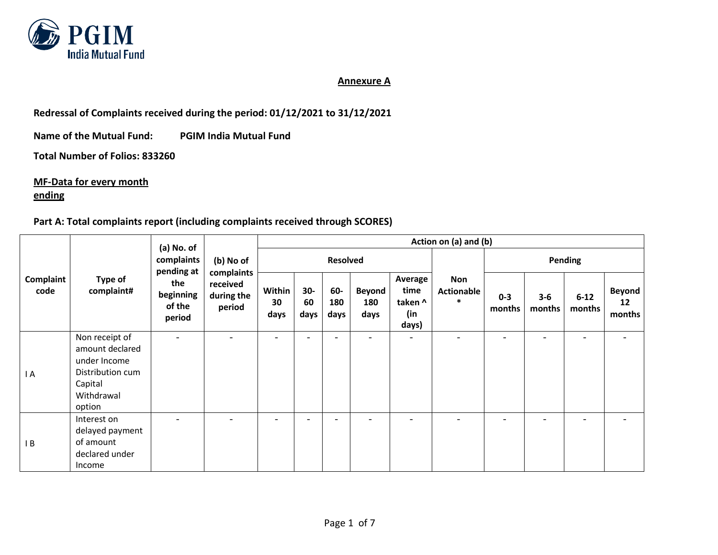

## **Annexure A**

**Redressal of Complaints received during the period: 01/12/2021 to 31/12/2021** 

**Name of the Mutual Fund: PGIM India Mutual Fund**

**Total Number of Folios: 833260**

**MF-Data for every month ending**

## **Part A: Total complaints report (including complaints received through SCORES)**

|                   | Type of<br>complaint#                                                                                    | (a) No. of                           | (b) No of<br>complaints<br>received<br>during the<br>period | Action on (a) and (b) |                          |                          |                              |                                            |                                           |                   |                          |                          |                               |  |
|-------------------|----------------------------------------------------------------------------------------------------------|--------------------------------------|-------------------------------------------------------------|-----------------------|--------------------------|--------------------------|------------------------------|--------------------------------------------|-------------------------------------------|-------------------|--------------------------|--------------------------|-------------------------------|--|
| Complaint<br>code |                                                                                                          | complaints<br>pending at             |                                                             |                       | <b>Resolved</b>          |                          |                              |                                            |                                           | <b>Pending</b>    |                          |                          |                               |  |
|                   |                                                                                                          | the<br>beginning<br>of the<br>period |                                                             | Within<br>30<br>days  | $30-$<br>60<br>days      | 60-<br>180<br>days       | <b>Beyond</b><br>180<br>days | Average<br>time<br>taken ^<br>(in<br>days) | <b>Non</b><br><b>Actionable</b><br>$\ast$ | $0 - 3$<br>months | $3 - 6$<br>months        | $6 - 12$<br>months       | <b>Beyond</b><br>12<br>months |  |
| I A               | Non receipt of<br>amount declared<br>under Income<br>Distribution cum<br>Capital<br>Withdrawal<br>option |                                      | ۰                                                           | $\qquad \qquad -$     | $\overline{\phantom{0}}$ | $\overline{\phantom{0}}$ | $\overline{\phantom{a}}$     | $\overline{\phantom{a}}$                   | $\overline{\phantom{a}}$                  | -                 | $\overline{\phantom{0}}$ | $\overline{\phantom{a}}$ | $\overline{\phantom{a}}$      |  |
| IB                | Interest on<br>delayed payment<br>of amount<br>declared under<br>Income                                  |                                      |                                                             |                       | $\overline{\phantom{0}}$ |                          |                              |                                            |                                           |                   |                          |                          |                               |  |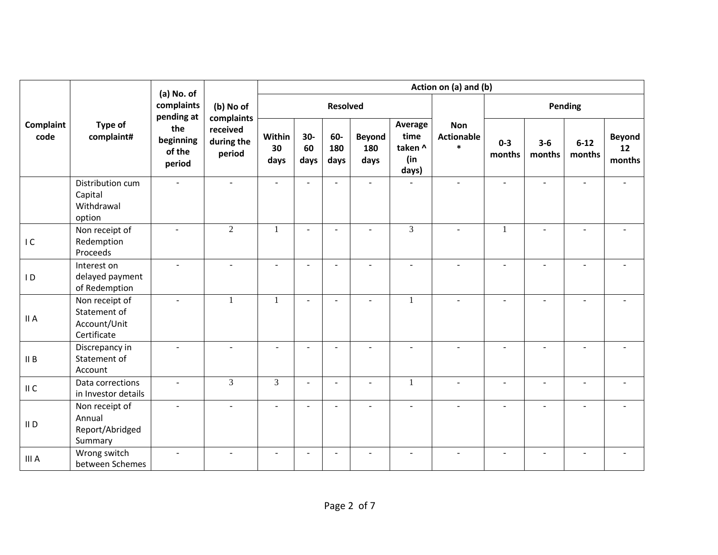|                   |                                                               | (a) No. of<br>complaints<br>(b) No of<br>pending at<br>complaints<br>the<br>received<br>beginning<br>during the<br>of the<br>period<br>period | Action on (a) and (b) |                          |                     |                    |                              |                                            |                                           |                   |                          |                          |                               |
|-------------------|---------------------------------------------------------------|-----------------------------------------------------------------------------------------------------------------------------------------------|-----------------------|--------------------------|---------------------|--------------------|------------------------------|--------------------------------------------|-------------------------------------------|-------------------|--------------------------|--------------------------|-------------------------------|
|                   |                                                               |                                                                                                                                               |                       |                          |                     | <b>Resolved</b>    |                              |                                            |                                           |                   |                          | Pending                  |                               |
| Complaint<br>code | Type of<br>complaint#                                         |                                                                                                                                               |                       | Within<br>30<br>days     | $30-$<br>60<br>days | 60-<br>180<br>days | <b>Beyond</b><br>180<br>days | Average<br>time<br>taken ^<br>(in<br>days) | <b>Non</b><br><b>Actionable</b><br>$\ast$ | $0 - 3$<br>months | $3 - 6$<br>months        | $6 - 12$<br>months       | <b>Beyond</b><br>12<br>months |
|                   | Distribution cum<br>Capital<br>Withdrawal<br>option           |                                                                                                                                               |                       |                          | L,                  |                    |                              |                                            |                                           |                   |                          |                          |                               |
| IC                | Non receipt of<br>Redemption<br>Proceeds                      |                                                                                                                                               | $\overline{2}$        | $\mathbf{1}$             | $\overline{a}$      | $\sim$             | $\overline{a}$               | $\overline{3}$                             | $\overline{a}$                            | $\mathbf{1}$      |                          | $\overline{a}$           |                               |
| $\overline{1}$    | Interest on<br>delayed payment<br>of Redemption               | $\mathbf{r}$                                                                                                                                  |                       | $\sim$                   | $\sim$              |                    | $\sim$                       | $\overline{a}$                             | ٠                                         | $\overline{a}$    | $\overline{a}$           | $\overline{\phantom{a}}$ |                               |
| II A              | Non receipt of<br>Statement of<br>Account/Unit<br>Certificate | $\omega$                                                                                                                                      | $\mathbf{1}$          | 1                        | $\sim$              | $\sim$             | $\overline{a}$               | $\mathbf{1}$                               | $\overline{a}$                            | ÷.                | $\overline{a}$           | $\overline{a}$           |                               |
| II B              | Discrepancy in<br>Statement of<br>Account                     |                                                                                                                                               |                       |                          | $\overline{a}$      |                    |                              |                                            |                                           |                   |                          |                          |                               |
| II C              | Data corrections<br>in Investor details                       | ÷.                                                                                                                                            | 3                     | $\overline{3}$           | $\sim$              | $\sim$             | $\sim$                       | $\mathbf{1}$                               | ÷.                                        | ÷                 | $\overline{\phantom{a}}$ | L,                       | ä,                            |
| II D              | Non receipt of<br>Annual<br>Report/Abridged<br>Summary        | $\blacksquare$                                                                                                                                | $\blacksquare$        | $\sim$                   | $\sim$              | $\sim$             | $\sim$                       | $\blacksquare$                             | $\sim$                                    | $\overline{a}$    | $\sim$                   | $\blacksquare$           |                               |
| III A             | Wrong switch<br>between Schemes                               | ٠                                                                                                                                             |                       | $\overline{\phantom{a}}$ | $\overline{a}$      |                    |                              |                                            |                                           |                   |                          |                          |                               |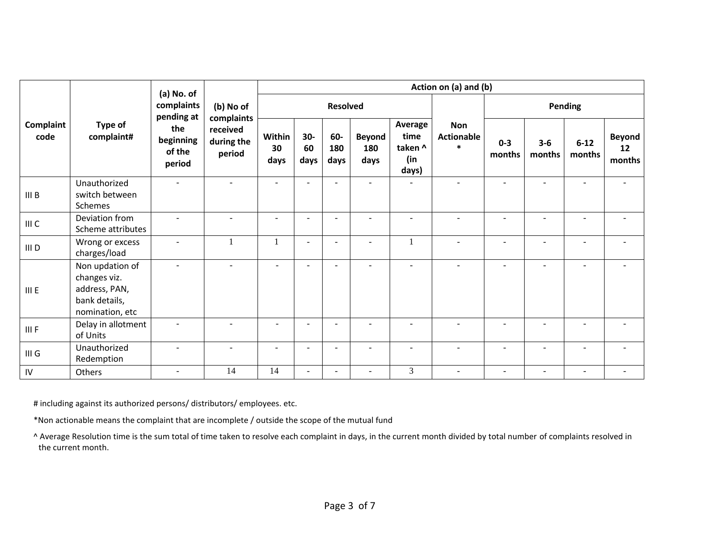|                   | Type of<br>complaint#                                                                | (a) No. of<br>complaints<br>pending at<br>the<br>beginning<br>of the<br>period | (b) No of<br>complaints<br>received<br>during the<br>period | Action on (a) and (b)    |                          |                    |                              |                                            |                                           |                          |                   |                          |                               |  |
|-------------------|--------------------------------------------------------------------------------------|--------------------------------------------------------------------------------|-------------------------------------------------------------|--------------------------|--------------------------|--------------------|------------------------------|--------------------------------------------|-------------------------------------------|--------------------------|-------------------|--------------------------|-------------------------------|--|
|                   |                                                                                      |                                                                                |                                                             |                          |                          | <b>Resolved</b>    |                              |                                            |                                           |                          |                   | Pending                  |                               |  |
| Complaint<br>code |                                                                                      |                                                                                |                                                             | Within<br>30<br>days     | $30-$<br>60<br>days      | 60-<br>180<br>days | <b>Beyond</b><br>180<br>days | Average<br>time<br>taken ^<br>(in<br>days) | <b>Non</b><br><b>Actionable</b><br>$\ast$ | $0 - 3$<br>months        | $3 - 6$<br>months | $6 - 12$<br>months       | <b>Beyond</b><br>12<br>months |  |
| III B             | Unauthorized<br>switch between<br>Schemes                                            |                                                                                |                                                             | ۰                        |                          |                    |                              |                                            |                                           |                          |                   |                          |                               |  |
| III C             | Deviation from<br>Scheme attributes                                                  | $\sim$                                                                         | $\sim$                                                      | $\sim$                   | $\overline{\phantom{a}}$ | $\sim$             | $\sim$                       | $\sim$                                     | $\overline{a}$                            | ÷.                       | $\overline{a}$    | $\sim$                   | ÷                             |  |
| III D             | Wrong or excess<br>charges/load                                                      | $\sim$                                                                         | 1                                                           | -1                       | $\overline{\phantom{a}}$ | $\sim$             | $\overline{\phantom{a}}$     | $\overline{1}$                             | $\overline{a}$                            | ÷                        | $\blacksquare$    | $\blacksquare$           | ٠                             |  |
| III E             | Non updation of<br>changes viz.<br>address, PAN,<br>bank details,<br>nomination, etc | $\overline{\phantom{a}}$                                                       |                                                             | $\overline{\phantom{a}}$ | $\blacksquare$           | $\sim$             | $\sim$                       | $\overline{\phantom{a}}$                   | $\overline{a}$                            | ÷                        | $\blacksquare$    | $\overline{\phantom{a}}$ | $\overline{\phantom{a}}$      |  |
| III F             | Delay in allotment<br>of Units                                                       |                                                                                |                                                             |                          | $\blacksquare$           |                    |                              |                                            |                                           |                          |                   | ÷,                       |                               |  |
| III G             | Unauthorized<br>Redemption                                                           |                                                                                |                                                             | ۰                        | $\overline{\phantom{a}}$ | ۰.                 |                              |                                            | ۰                                         | ٠                        |                   | ۰                        |                               |  |
| IV                | Others                                                                               | $\overline{\phantom{a}}$                                                       | 14                                                          | 14                       | $\blacksquare$           |                    | $\overline{\phantom{a}}$     | $\overline{3}$                             | $\sim$                                    | $\overline{\phantom{a}}$ |                   | $\blacksquare$           |                               |  |

# including against its authorized persons/ distributors/ employees. etc.

\*Non actionable means the complaint that are incomplete / outside the scope of the mutual fund

^ Average Resolution time is the sum total of time taken to resolve each complaint in days, in the current month divided by total number of complaints resolved in the current month.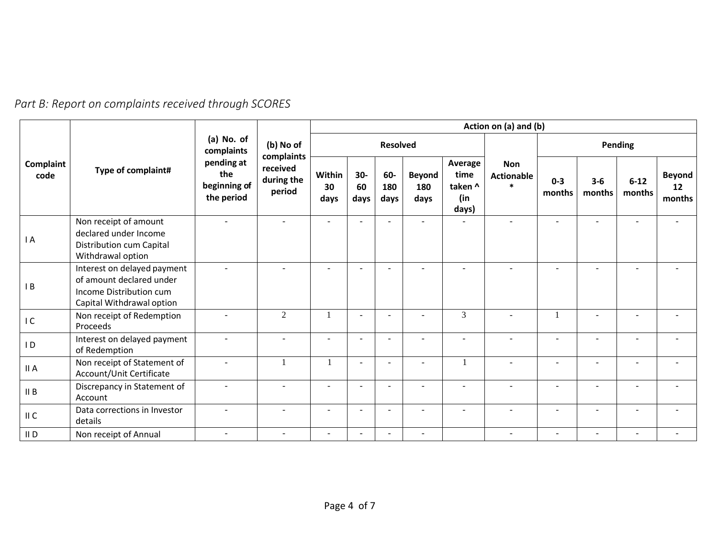| Part B: Report on complaints received through SCORES |  |
|------------------------------------------------------|--|
|------------------------------------------------------|--|

|                   |                                                                                                                 | (a) No. of<br>complaints                        | (b) No of<br>complaints<br>received<br>during the<br>period | Action on (a) and (b)    |                     |                          |                              |                                            |                                           |                          |                          |                    |                               |
|-------------------|-----------------------------------------------------------------------------------------------------------------|-------------------------------------------------|-------------------------------------------------------------|--------------------------|---------------------|--------------------------|------------------------------|--------------------------------------------|-------------------------------------------|--------------------------|--------------------------|--------------------|-------------------------------|
|                   |                                                                                                                 |                                                 |                                                             |                          | <b>Resolved</b>     |                          |                              |                                            |                                           | Pending                  |                          |                    |                               |
| Complaint<br>code | Type of complaint#                                                                                              | pending at<br>the<br>beginning of<br>the period |                                                             | Within<br>30<br>days     | $30-$<br>60<br>days | 60-<br>180<br>days       | <b>Beyond</b><br>180<br>days | Average<br>time<br>taken ^<br>(in<br>days) | <b>Non</b><br><b>Actionable</b><br>$\ast$ | $0 - 3$<br>months        | $3-6$<br>months          | $6 - 12$<br>months | <b>Beyond</b><br>12<br>months |
| I A               | Non receipt of amount<br>declared under Income<br>Distribution cum Capital<br>Withdrawal option                 |                                                 |                                                             |                          |                     |                          |                              |                                            |                                           |                          |                          |                    |                               |
| B                 | Interest on delayed payment<br>of amount declared under<br>Income Distribution cum<br>Capital Withdrawal option |                                                 |                                                             | $\overline{\phantom{a}}$ |                     |                          |                              | $\sim$                                     |                                           |                          |                          |                    |                               |
| IC                | Non receipt of Redemption<br>Proceeds                                                                           |                                                 | 2                                                           |                          | ٠                   |                          | $\sim$                       | 3                                          | $\overline{\phantom{0}}$                  |                          |                          | $\sim$             |                               |
| $\overline{1}$    | Interest on delayed payment<br>of Redemption                                                                    |                                                 |                                                             | ÷                        |                     |                          |                              |                                            |                                           |                          |                          |                    |                               |
| II A              | Non receipt of Statement of<br>Account/Unit Certificate                                                         |                                                 |                                                             |                          | ٠                   |                          |                              |                                            | $\overline{\phantom{a}}$                  |                          |                          |                    |                               |
| II B              | Discrepancy in Statement of<br>Account                                                                          |                                                 |                                                             | ÷                        |                     |                          |                              |                                            |                                           |                          |                          |                    |                               |
| II C              | Data corrections in Investor<br>details                                                                         |                                                 | $\blacksquare$                                              | $\blacksquare$           | $\blacksquare$      | $\overline{\phantom{a}}$ | $\blacksquare$               | $\sim$                                     | $\overline{\phantom{0}}$                  | $\overline{\phantom{a}}$ | $\overline{a}$           | $\sim$             |                               |
| $II$ D            | Non receipt of Annual                                                                                           | $\sim$                                          | $\overline{\phantom{a}}$                                    | $\overline{\phantom{a}}$ |                     |                          | $\overline{\phantom{a}}$     |                                            | $\overline{\phantom{a}}$                  | $\overline{\phantom{a}}$ | $\overline{\phantom{a}}$ | $\sim$             |                               |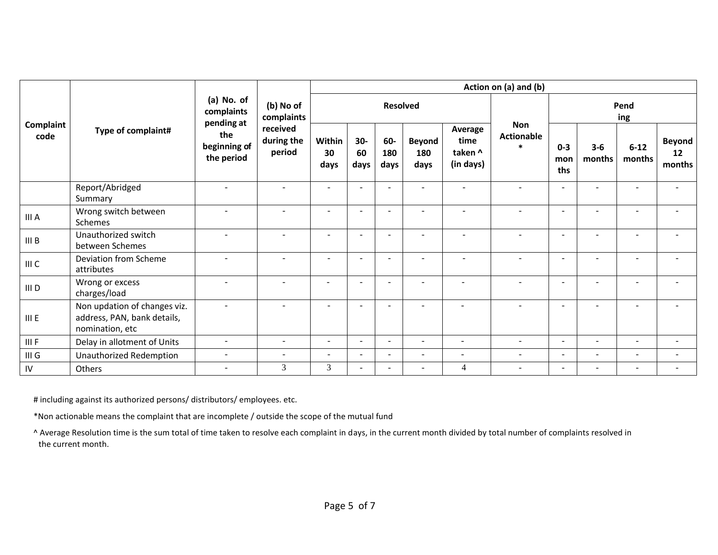|                   | Type of complaint#                                                             | (a) No. of<br>complaints<br>pending at<br>the<br>beginning of<br>the period | (b) No of<br>complaints<br>received<br>during the<br>period | Action on (a) and (b)    |                          |                    |                              |                                         |                                            |                          |                          |                          |                               |
|-------------------|--------------------------------------------------------------------------------|-----------------------------------------------------------------------------|-------------------------------------------------------------|--------------------------|--------------------------|--------------------|------------------------------|-----------------------------------------|--------------------------------------------|--------------------------|--------------------------|--------------------------|-------------------------------|
| Complaint<br>code |                                                                                |                                                                             |                                                             |                          |                          | <b>Resolved</b>    |                              |                                         |                                            | Pend<br>ing              |                          |                          |                               |
|                   |                                                                                |                                                                             |                                                             | Within<br>30<br>days     | $30-$<br>60<br>days      | 60-<br>180<br>days | <b>Beyond</b><br>180<br>days | Average<br>time<br>taken ^<br>(in days) | <b>Non</b><br><b>Actionable</b><br>$\star$ | $0 - 3$<br>mon<br>ths    | $3 - 6$<br>months        | $6 - 12$<br>months       | <b>Beyond</b><br>12<br>months |
|                   | Report/Abridged<br>Summary                                                     | $\sim$                                                                      | $\blacksquare$                                              | $\overline{\phantom{a}}$ |                          |                    | $\overline{\phantom{a}}$     |                                         |                                            | $\sim$                   | $\blacksquare$           | $\sim$                   | $\overline{\phantom{a}}$      |
| III A             | Wrong switch between<br>Schemes                                                |                                                                             | $\overline{\phantom{a}}$                                    | $\sim$                   |                          |                    | $\sim$                       |                                         | $\sim$                                     | $\sim$                   | $\sim$                   | $\sim$                   |                               |
| III B             | Unauthorized switch<br>between Schemes                                         |                                                                             | $\blacksquare$                                              | $\overline{\phantom{a}}$ | ÷                        |                    | $\sim$                       |                                         |                                            | $\sim$                   | ÷                        | $\sim$                   |                               |
| III C             | Deviation from Scheme<br>attributes                                            |                                                                             |                                                             | ٠                        | $\overline{\phantom{a}}$ |                    | $\overline{\phantom{a}}$     |                                         |                                            | $\sim$                   |                          | $\overline{\phantom{0}}$ |                               |
| III D             | Wrong or excess<br>charges/load                                                |                                                                             |                                                             |                          |                          |                    |                              |                                         |                                            | $\sim$                   |                          |                          |                               |
| III E             | Non updation of changes viz.<br>address, PAN, bank details,<br>nomination, etc |                                                                             |                                                             |                          |                          |                    |                              |                                         |                                            | $\overline{\phantom{a}}$ |                          |                          |                               |
| III F             | Delay in allotment of Units                                                    | $\sim$                                                                      | $\sim$                                                      | $\overline{a}$           | $\overline{\phantom{a}}$ | $\sim$             | $\sim$                       | $\sim$                                  | $\sim$                                     | $\sim$                   | $\sim$                   | $\sim$                   | $\overline{\phantom{a}}$      |
| $III$ $G$         | Unauthorized Redemption                                                        | $\sim$                                                                      | $\overline{\phantom{a}}$                                    | $\overline{a}$           | $\overline{a}$           | $\sim$             | $\sim$                       | $\sim$                                  | $\overline{\phantom{a}}$                   | $\sim$                   | $\blacksquare$           | $\sim$                   | $\overline{\phantom{a}}$      |
| ${\sf IV}$        | Others                                                                         | $\sim$                                                                      | 3                                                           | $\overline{3}$           |                          |                    | $\sim$                       | 4                                       | $\sim$                                     | $\sim$                   | $\overline{\phantom{a}}$ | $\sim$                   |                               |

# including against its authorized persons/ distributors/ employees. etc.

\*Non actionable means the complaint that are incomplete / outside the scope of the mutual fund

^ Average Resolution time is the sum total of time taken to resolve each complaint in days, in the current month divided by total number of complaints resolved in the current month.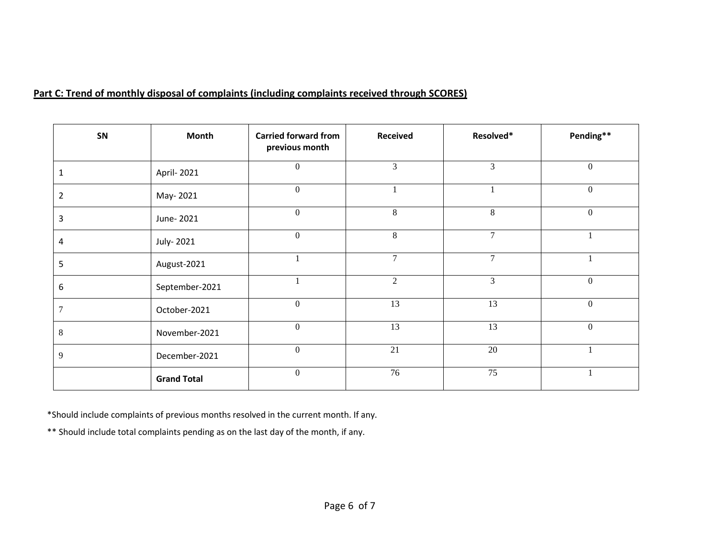## **Part C: Trend of monthly disposal of complaints (including complaints received through SCORES)**

| SN             | <b>Month</b>       | <b>Carried forward from</b><br>previous month | <b>Received</b> | Resolved*      | Pending**        |
|----------------|--------------------|-----------------------------------------------|-----------------|----------------|------------------|
|                | April- 2021        | $\boldsymbol{0}$                              | 3               | $\overline{3}$ | $\boldsymbol{0}$ |
| $\overline{2}$ | May-2021           | $\boldsymbol{0}$                              | $\mathbf{1}$    |                | $\boldsymbol{0}$ |
| 3              | June-2021          | $\boldsymbol{0}$                              | 8               | 8              | $\boldsymbol{0}$ |
| 4              | July-2021          | $\boldsymbol{0}$                              | 8               | $\tau$         |                  |
| 5              | August-2021        |                                               | $\overline{7}$  | $\overline{7}$ |                  |
| 6              | September-2021     |                                               | 2               | 3              | $\boldsymbol{0}$ |
| 7              | October-2021       | $\boldsymbol{0}$                              | 13              | 13             | $\boldsymbol{0}$ |
| 8              | November-2021      | $\boldsymbol{0}$                              | 13              | 13             | $\boldsymbol{0}$ |
| 9              | December-2021      | $\boldsymbol{0}$                              | 21              | 20             |                  |
|                | <b>Grand Total</b> | $\boldsymbol{0}$                              | 76              | 75             |                  |

\*Should include complaints of previous months resolved in the current month. If any.

\*\* Should include total complaints pending as on the last day of the month, if any.